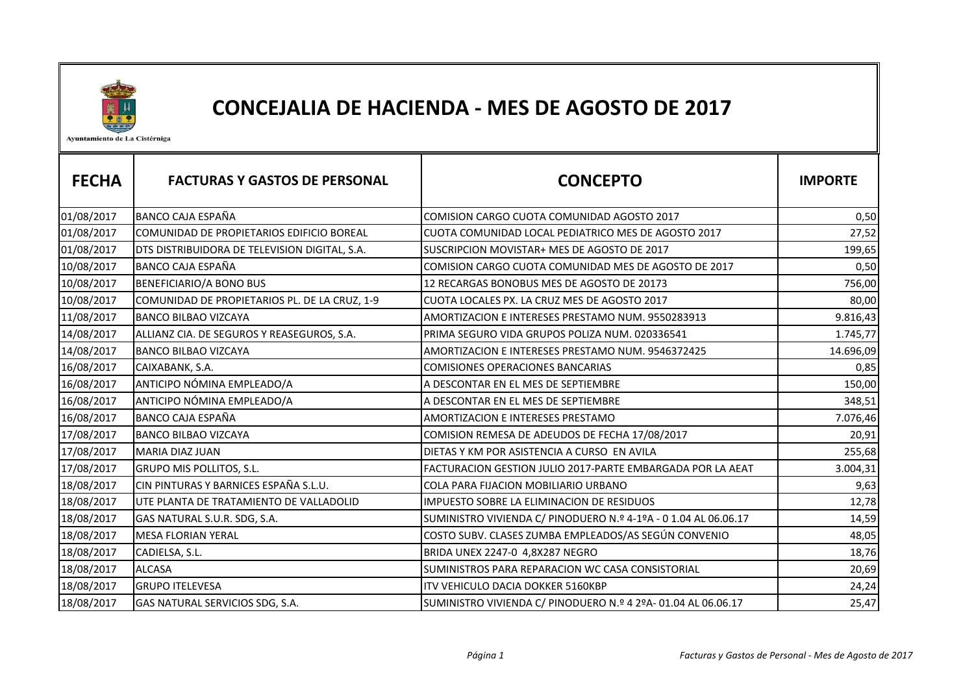

## CONCEJALIA DE HACIENDA - MES DE AGOSTO DE 2017

Ayuntamiento de La Cistérniga

| <b>FECHA</b> | <b>FACTURAS Y GASTOS DE PERSONAL</b>          | <b>CONCEPTO</b>                                                 | <b>IMPORTE</b> |
|--------------|-----------------------------------------------|-----------------------------------------------------------------|----------------|
| 01/08/2017   | <b>BANCO CAJA ESPAÑA</b>                      | COMISION CARGO CUOTA COMUNIDAD AGOSTO 2017                      | 0,50           |
| 01/08/2017   | COMUNIDAD DE PROPIETARIOS EDIFICIO BOREAL     | CUOTA COMUNIDAD LOCAL PEDIATRICO MES DE AGOSTO 2017             | 27,52          |
| 01/08/2017   | DTS DISTRIBUIDORA DE TELEVISION DIGITAL, S.A. | SUSCRIPCION MOVISTAR+ MES DE AGOSTO DE 2017                     | 199,65         |
| 10/08/2017   | <b>BANCO CAJA ESPAÑA</b>                      | COMISION CARGO CUOTA COMUNIDAD MES DE AGOSTO DE 2017            | 0,50           |
| 10/08/2017   | BENEFICIARIO/A BONO BUS                       | 12 RECARGAS BONOBUS MES DE AGOSTO DE 20173                      | 756,00         |
| 10/08/2017   | COMUNIDAD DE PROPIETARIOS PL. DE LA CRUZ, 1-9 | CUOTA LOCALES PX. LA CRUZ MES DE AGOSTO 2017                    | 80,00          |
| 11/08/2017   | <b>BANCO BILBAO VIZCAYA</b>                   | AMORTIZACION E INTERESES PRESTAMO NUM. 9550283913               | 9.816,43       |
| 14/08/2017   | ALLIANZ CIA. DE SEGUROS Y REASEGUROS, S.A.    | PRIMA SEGURO VIDA GRUPOS POLIZA NUM. 020336541                  | 1.745,77       |
| 14/08/2017   | <b>BANCO BILBAO VIZCAYA</b>                   | AMORTIZACION E INTERESES PRESTAMO NUM. 9546372425               | 14.696,09      |
| 16/08/2017   | CAIXABANK, S.A.                               | <b>COMISIONES OPERACIONES BANCARIAS</b>                         | 0,85           |
| 16/08/2017   | ANTICIPO NÓMINA EMPLEADO/A                    | A DESCONTAR EN EL MES DE SEPTIEMBRE                             | 150,00         |
| 16/08/2017   | ANTICIPO NÓMINA EMPLEADO/A                    | A DESCONTAR EN EL MES DE SEPTIEMBRE                             | 348,51         |
| 16/08/2017   | <b>BANCO CAJA ESPAÑA</b>                      | AMORTIZACION E INTERESES PRESTAMO                               | 7.076,46       |
| 17/08/2017   | <b>BANCO BILBAO VIZCAYA</b>                   | COMISION REMESA DE ADEUDOS DE FECHA 17/08/2017                  | 20,91          |
| 17/08/2017   | <b>MARIA DIAZ JUAN</b>                        | DIETAS Y KM POR ASISTENCIA A CURSO EN AVILA                     | 255,68         |
| 17/08/2017   | GRUPO MIS POLLITOS, S.L.                      | FACTURACION GESTION JULIO 2017-PARTE EMBARGADA POR LA AEAT      | 3.004,31       |
| 18/08/2017   | CIN PINTURAS Y BARNICES ESPAÑA S.L.U.         | COLA PARA FIJACION MOBILIARIO URBANO                            | 9,63           |
| 18/08/2017   | UTE PLANTA DE TRATAMIENTO DE VALLADOLID       | IMPUESTO SOBRE LA ELIMINACION DE RESIDUOS                       | 12,78          |
| 18/08/2017   | GAS NATURAL S.U.R. SDG, S.A.                  | SUMINISTRO VIVIENDA C/ PINODUERO N.º 4-1ºA - 0 1.04 AL 06.06.17 | 14,59          |
| 18/08/2017   | <b>MESA FLORIAN YERAL</b>                     | COSTO SUBV. CLASES ZUMBA EMPLEADOS/AS SEGÚN CONVENIO            | 48,05          |
| 18/08/2017   | CADIELSA, S.L.                                | BRIDA UNEX 2247-0 4,8X287 NEGRO                                 | 18,76          |
| 18/08/2017   | <b>ALCASA</b>                                 | SUMINISTROS PARA REPARACION WC CASA CONSISTORIAL                | 20,69          |
| 18/08/2017   | <b>GRUPO ITELEVESA</b>                        | <b>ITV VEHICULO DACIA DOKKER 5160KBP</b>                        | 24,24          |
| 18/08/2017   | GAS NATURAL SERVICIOS SDG, S.A.               | SUMINISTRO VIVIENDA C/ PINODUERO N.º 4 2ºA-01.04 AL 06.06.17    | 25,47          |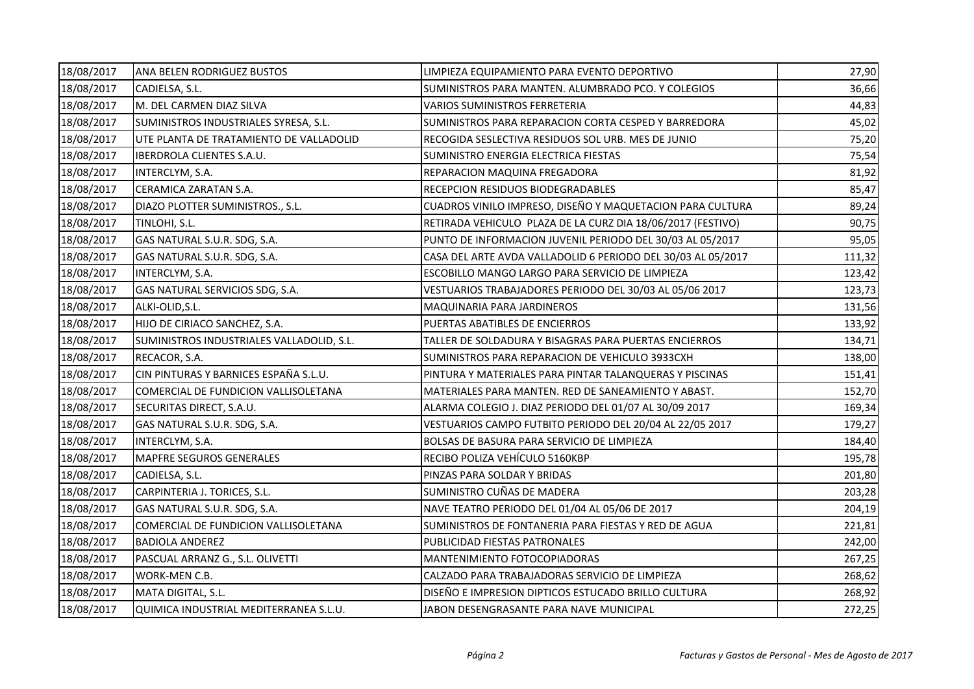| 18/08/2017 | ANA BELEN RODRIGUEZ BUSTOS                | LIMPIEZA EQUIPAMIENTO PARA EVENTO DEPORTIVO                  | 27,90  |
|------------|-------------------------------------------|--------------------------------------------------------------|--------|
| 18/08/2017 | CADIELSA, S.L.                            | SUMINISTROS PARA MANTEN. ALUMBRADO PCO. Y COLEGIOS           | 36,66  |
| 18/08/2017 | M. DEL CARMEN DIAZ SILVA                  | VARIOS SUMINISTROS FERRETERIA                                | 44,83  |
| 18/08/2017 | SUMINISTROS INDUSTRIALES SYRESA, S.L.     | SUMINISTROS PARA REPARACION CORTA CESPED Y BARREDORA         | 45,02  |
| 18/08/2017 | UTE PLANTA DE TRATAMIENTO DE VALLADOLID   | RECOGIDA SESLECTIVA RESIDUOS SOL URB. MES DE JUNIO           | 75,20  |
| 18/08/2017 | <b>IBERDROLA CLIENTES S.A.U.</b>          | SUMINISTRO ENERGIA ELECTRICA FIESTAS                         | 75,54  |
| 18/08/2017 | INTERCLYM, S.A.                           | REPARACION MAQUINA FREGADORA                                 | 81,92  |
| 18/08/2017 | CERAMICA ZARATAN S.A.                     | RECEPCION RESIDUOS BIODEGRADABLES                            | 85,47  |
| 18/08/2017 | DIAZO PLOTTER SUMINISTROS., S.L.          | CUADROS VINILO IMPRESO, DISEÑO Y MAQUETACION PARA CULTURA    | 89,24  |
| 18/08/2017 | TINLOHI, S.L.                             | RETIRADA VEHICULO PLAZA DE LA CURZ DIA 18/06/2017 (FESTIVO)  | 90,75  |
| 18/08/2017 | GAS NATURAL S.U.R. SDG, S.A.              | PUNTO DE INFORMACION JUVENIL PERIODO DEL 30/03 AL 05/2017    | 95,05  |
| 18/08/2017 | GAS NATURAL S.U.R. SDG, S.A.              | CASA DEL ARTE AVDA VALLADOLID 6 PERIODO DEL 30/03 AL 05/2017 | 111,32 |
| 18/08/2017 | INTERCLYM, S.A.                           | ESCOBILLO MANGO LARGO PARA SERVICIO DE LIMPIEZA              | 123,42 |
| 18/08/2017 | GAS NATURAL SERVICIOS SDG, S.A.           | VESTUARIOS TRABAJADORES PERIODO DEL 30/03 AL 05/06 2017      | 123,73 |
| 18/08/2017 | ALKI-OLID, S.L.                           | MAQUINARIA PARA JARDINEROS                                   | 131,56 |
| 18/08/2017 | HIJO DE CIRIACO SANCHEZ, S.A.             | PUERTAS ABATIBLES DE ENCIERROS                               | 133,92 |
| 18/08/2017 | SUMINISTROS INDUSTRIALES VALLADOLID, S.L. | TALLER DE SOLDADURA Y BISAGRAS PARA PUERTAS ENCIERROS        | 134,71 |
| 18/08/2017 | RECACOR, S.A.                             | SUMINISTROS PARA REPARACION DE VEHICULO 3933CXH              | 138,00 |
| 18/08/2017 | CIN PINTURAS Y BARNICES ESPAÑA S.L.U.     | PINTURA Y MATERIALES PARA PINTAR TALANQUERAS Y PISCINAS      | 151,41 |
| 18/08/2017 | COMERCIAL DE FUNDICION VALLISOLETANA      | MATERIALES PARA MANTEN. RED DE SANEAMIENTO Y ABAST.          | 152,70 |
| 18/08/2017 | SECURITAS DIRECT, S.A.U.                  | ALARMA COLEGIO J. DIAZ PERIODO DEL 01/07 AL 30/09 2017       | 169,34 |
| 18/08/2017 | GAS NATURAL S.U.R. SDG, S.A.              | VESTUARIOS CAMPO FUTBITO PERIODO DEL 20/04 AL 22/05 2017     | 179,27 |
| 18/08/2017 | INTERCLYM, S.A.                           | BOLSAS DE BASURA PARA SERVICIO DE LIMPIEZA                   | 184,40 |
| 18/08/2017 | <b>MAPFRE SEGUROS GENERALES</b>           | RECIBO POLIZA VEHÍCULO 5160KBP                               | 195,78 |
| 18/08/2017 | CADIELSA, S.L.                            | PINZAS PARA SOLDAR Y BRIDAS                                  | 201,80 |
| 18/08/2017 | CARPINTERIA J. TORICES, S.L.              | SUMINISTRO CUÑAS DE MADERA                                   | 203,28 |
| 18/08/2017 | GAS NATURAL S.U.R. SDG, S.A.              | NAVE TEATRO PERIODO DEL 01/04 AL 05/06 DE 2017               | 204,19 |
| 18/08/2017 | COMERCIAL DE FUNDICION VALLISOLETANA      | SUMINISTROS DE FONTANERIA PARA FIESTAS Y RED DE AGUA         | 221,81 |
| 18/08/2017 | <b>BADIOLA ANDEREZ</b>                    | PUBLICIDAD FIESTAS PATRONALES                                | 242,00 |
| 18/08/2017 | PASCUAL ARRANZ G., S.L. OLIVETTI          | MANTENIMIENTO FOTOCOPIADORAS                                 | 267,25 |
| 18/08/2017 | WORK-MEN C.B.                             | CALZADO PARA TRABAJADORAS SERVICIO DE LIMPIEZA               | 268,62 |
| 18/08/2017 | MATA DIGITAL, S.L.                        | DISEÑO E IMPRESION DIPTICOS ESTUCADO BRILLO CULTURA          | 268,92 |
| 18/08/2017 | QUIMICA INDUSTRIAL MEDITERRANEA S.L.U.    | JABON DESENGRASANTE PARA NAVE MUNICIPAL                      | 272,25 |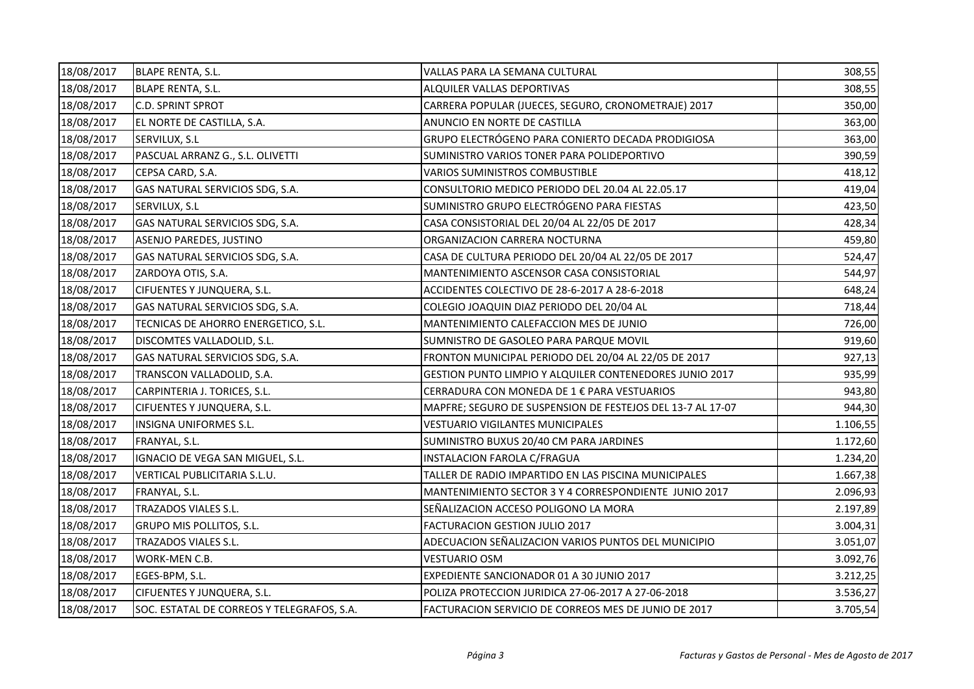| 18/08/2017 | BLAPE RENTA, S.L.                          | VALLAS PARA LA SEMANA CULTURAL                             | 308,55   |
|------------|--------------------------------------------|------------------------------------------------------------|----------|
| 18/08/2017 | BLAPE RENTA, S.L.                          | ALQUILER VALLAS DEPORTIVAS                                 | 308,55   |
| 18/08/2017 | <b>C.D. SPRINT SPROT</b>                   | CARRERA POPULAR (JUECES, SEGURO, CRONOMETRAJE) 2017        | 350,00   |
| 18/08/2017 | EL NORTE DE CASTILLA, S.A.                 | ANUNCIO EN NORTE DE CASTILLA                               | 363,00   |
| 18/08/2017 | SERVILUX, S.L                              | GRUPO ELECTRÓGENO PARA CONIERTO DECADA PRODIGIOSA          | 363,00   |
| 18/08/2017 | PASCUAL ARRANZ G., S.L. OLIVETTI           | SUMINISTRO VARIOS TONER PARA POLIDEPORTIVO                 | 390,59   |
| 18/08/2017 | CEPSA CARD, S.A.                           | VARIOS SUMINISTROS COMBUSTIBLE                             | 418,12   |
| 18/08/2017 | GAS NATURAL SERVICIOS SDG, S.A.            | CONSULTORIO MEDICO PERIODO DEL 20.04 AL 22.05.17           | 419,04   |
| 18/08/2017 | SERVILUX, S.L                              | SUMINISTRO GRUPO ELECTRÓGENO PARA FIESTAS                  | 423,50   |
| 18/08/2017 | GAS NATURAL SERVICIOS SDG, S.A.            | CASA CONSISTORIAL DEL 20/04 AL 22/05 DE 2017               | 428,34   |
| 18/08/2017 | ASENJO PAREDES, JUSTINO                    | ORGANIZACION CARRERA NOCTURNA                              | 459,80   |
| 18/08/2017 | GAS NATURAL SERVICIOS SDG, S.A.            | CASA DE CULTURA PERIODO DEL 20/04 AL 22/05 DE 2017         | 524,47   |
| 18/08/2017 | ZARDOYA OTIS, S.A.                         | MANTENIMIENTO ASCENSOR CASA CONSISTORIAL                   | 544,97   |
| 18/08/2017 | CIFUENTES Y JUNQUERA, S.L.                 | ACCIDENTES COLECTIVO DE 28-6-2017 A 28-6-2018              | 648,24   |
| 18/08/2017 | GAS NATURAL SERVICIOS SDG, S.A.            | COLEGIO JOAQUIN DIAZ PERIODO DEL 20/04 AL                  | 718,44   |
| 18/08/2017 | TECNICAS DE AHORRO ENERGETICO, S.L.        | MANTENIMIENTO CALEFACCION MES DE JUNIO                     | 726,00   |
| 18/08/2017 | DISCOMTES VALLADOLID, S.L.                 | SUMNISTRO DE GASOLEO PARA PARQUE MOVIL                     | 919,60   |
| 18/08/2017 | GAS NATURAL SERVICIOS SDG, S.A.            | FRONTON MUNICIPAL PERIODO DEL 20/04 AL 22/05 DE 2017       | 927,13   |
| 18/08/2017 | TRANSCON VALLADOLID, S.A.                  | GESTION PUNTO LIMPIO Y ALQUILER CONTENEDORES JUNIO 2017    | 935,99   |
| 18/08/2017 | CARPINTERIA J. TORICES, S.L.               | CERRADURA CON MONEDA DE 1 € PARA VESTUARIOS                | 943,80   |
| 18/08/2017 | CIFUENTES Y JUNQUERA, S.L.                 | MAPFRE; SEGURO DE SUSPENSION DE FESTEJOS DEL 13-7 AL 17-07 | 944,30   |
| 18/08/2017 | INSIGNA UNIFORMES S.L.                     | <b>VESTUARIO VIGILANTES MUNICIPALES</b>                    | 1.106,55 |
| 18/08/2017 | FRANYAL, S.L.                              | SUMINISTRO BUXUS 20/40 CM PARA JARDINES                    | 1.172,60 |
| 18/08/2017 | IGNACIO DE VEGA SAN MIGUEL, S.L.           | INSTALACION FAROLA C/FRAGUA                                | 1.234,20 |
| 18/08/2017 | VERTICAL PUBLICITARIA S.L.U.               | TALLER DE RADIO IMPARTIDO EN LAS PISCINA MUNICIPALES       | 1.667,38 |
| 18/08/2017 | FRANYAL, S.L.                              | MANTENIMIENTO SECTOR 3 Y 4 CORRESPONDIENTE JUNIO 2017      | 2.096,93 |
| 18/08/2017 | TRAZADOS VIALES S.L.                       | SEÑALIZACION ACCESO POLIGONO LA MORA                       | 2.197,89 |
| 18/08/2017 | GRUPO MIS POLLITOS, S.L.                   | FACTURACION GESTION JULIO 2017                             | 3.004,31 |
| 18/08/2017 | TRAZADOS VIALES S.L.                       | ADECUACION SEÑALIZACION VARIOS PUNTOS DEL MUNICIPIO        | 3.051,07 |
| 18/08/2017 | WORK-MEN C.B.                              | <b>VESTUARIO OSM</b>                                       | 3.092,76 |
| 18/08/2017 | EGES-BPM, S.L.                             | EXPEDIENTE SANCIONADOR 01 A 30 JUNIO 2017                  | 3.212,25 |
| 18/08/2017 | CIFUENTES Y JUNQUERA, S.L.                 | POLIZA PROTECCION JURIDICA 27-06-2017 A 27-06-2018         | 3.536,27 |
| 18/08/2017 | SOC. ESTATAL DE CORREOS Y TELEGRAFOS, S.A. | FACTURACION SERVICIO DE CORREOS MES DE JUNIO DE 2017       | 3.705,54 |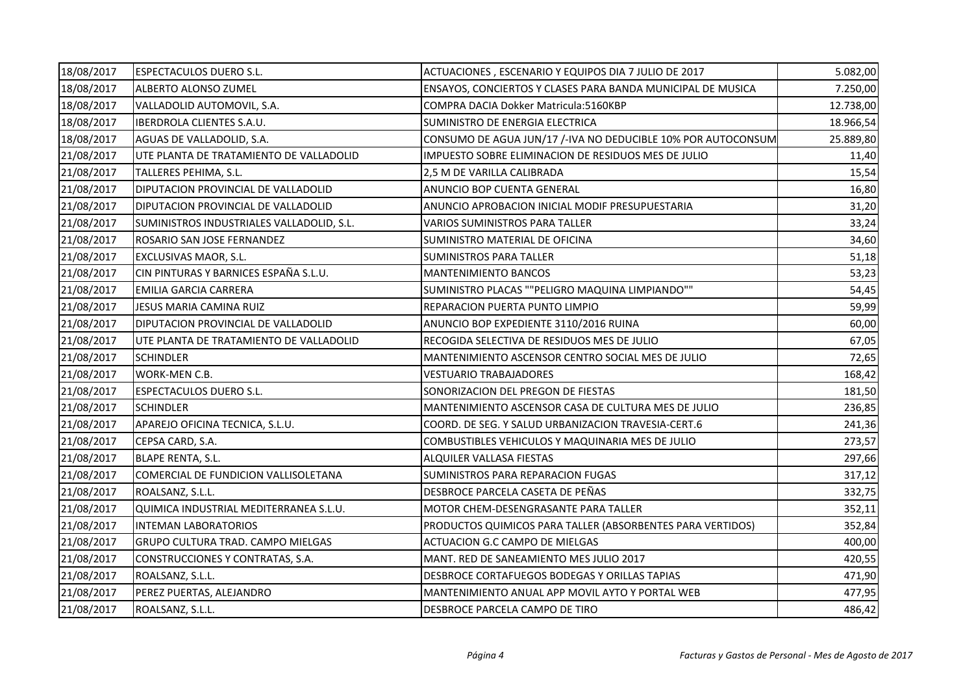| 18/08/2017 | ESPECTACULOS DUERO S.L.                   | ACTUACIONES, ESCENARIO Y EQUIPOS DIA 7 JULIO DE 2017         | 5.082,00  |
|------------|-------------------------------------------|--------------------------------------------------------------|-----------|
| 18/08/2017 | ALBERTO ALONSO ZUMEL                      | ENSAYOS, CONCIERTOS Y CLASES PARA BANDA MUNICIPAL DE MUSICA  | 7.250,00  |
| 18/08/2017 | VALLADOLID AUTOMOVIL, S.A.                | COMPRA DACIA Dokker Matricula:5160KBP                        | 12.738,00 |
| 18/08/2017 | IBERDROLA CLIENTES S.A.U.                 | SUMINISTRO DE ENERGIA ELECTRICA                              | 18.966,54 |
| 18/08/2017 | AGUAS DE VALLADOLID, S.A.                 | CONSUMO DE AGUA JUN/17 /-IVA NO DEDUCIBLE 10% POR AUTOCONSUM | 25.889,80 |
| 21/08/2017 | UTE PLANTA DE TRATAMIENTO DE VALLADOLID   | IMPUESTO SOBRE ELIMINACION DE RESIDUOS MES DE JULIO          | 11,40     |
| 21/08/2017 | TALLERES PEHIMA, S.L.                     | 2,5 M DE VARILLA CALIBRADA                                   | 15,54     |
| 21/08/2017 | DIPUTACION PROVINCIAL DE VALLADOLID       | ANUNCIO BOP CUENTA GENERAL                                   | 16,80     |
| 21/08/2017 | DIPUTACION PROVINCIAL DE VALLADOLID       | ANUNCIO APROBACION INICIAL MODIF PRESUPUESTARIA              | 31,20     |
| 21/08/2017 | SUMINISTROS INDUSTRIALES VALLADOLID, S.L. | VARIOS SUMINISTROS PARA TALLER                               | 33,24     |
| 21/08/2017 | ROSARIO SAN JOSE FERNANDEZ                | SUMINISTRO MATERIAL DE OFICINA                               | 34,60     |
| 21/08/2017 | EXCLUSIVAS MAOR, S.L.                     | <b>SUMINISTROS PARA TALLER</b>                               | 51,18     |
| 21/08/2017 | CIN PINTURAS Y BARNICES ESPAÑA S.L.U.     | <b>MANTENIMIENTO BANCOS</b>                                  | 53,23     |
| 21/08/2017 | <b>EMILIA GARCIA CARRERA</b>              | SUMINISTRO PLACAS ""PELIGRO MAQUINA LIMPIANDO""              | 54,45     |
| 21/08/2017 | <b>JESUS MARIA CAMINA RUIZ</b>            | REPARACION PUERTA PUNTO LIMPIO                               | 59,99     |
| 21/08/2017 | DIPUTACION PROVINCIAL DE VALLADOLID       | ANUNCIO BOP EXPEDIENTE 3110/2016 RUINA                       | 60,00     |
| 21/08/2017 | UTE PLANTA DE TRATAMIENTO DE VALLADOLID   | RECOGIDA SELECTIVA DE RESIDUOS MES DE JULIO                  | 67,05     |
| 21/08/2017 | <b>SCHINDLER</b>                          | MANTENIMIENTO ASCENSOR CENTRO SOCIAL MES DE JULIO            | 72,65     |
| 21/08/2017 | WORK-MEN C.B.                             | VESTUARIO TRABAJADORES                                       | 168,42    |
| 21/08/2017 | <b>ESPECTACULOS DUERO S.L.</b>            | SONORIZACION DEL PREGON DE FIESTAS                           | 181,50    |
| 21/08/2017 | <b>SCHINDLER</b>                          | MANTENIMIENTO ASCENSOR CASA DE CULTURA MES DE JULIO          | 236,85    |
| 21/08/2017 | APAREJO OFICINA TECNICA, S.L.U.           | COORD. DE SEG. Y SALUD URBANIZACION TRAVESIA-CERT.6          | 241,36    |
| 21/08/2017 | CEPSA CARD, S.A.                          | COMBUSTIBLES VEHICULOS Y MAQUINARIA MES DE JULIO             | 273,57    |
| 21/08/2017 | BLAPE RENTA, S.L.                         | ALQUILER VALLASA FIESTAS                                     | 297,66    |
| 21/08/2017 | COMERCIAL DE FUNDICION VALLISOLETANA      | SUMINISTROS PARA REPARACION FUGAS                            | 317,12    |
| 21/08/2017 | ROALSANZ, S.L.L.                          | DESBROCE PARCELA CASETA DE PEÑAS                             | 332,75    |
| 21/08/2017 | QUIMICA INDUSTRIAL MEDITERRANEA S.L.U.    | MOTOR CHEM-DESENGRASANTE PARA TALLER                         | 352,11    |
| 21/08/2017 | <b>INTEMAN LABORATORIOS</b>               | PRODUCTOS QUIMICOS PARA TALLER (ABSORBENTES PARA VERTIDOS)   | 352,84    |
| 21/08/2017 | GRUPO CULTURA TRAD. CAMPO MIELGAS         | ACTUACION G.C CAMPO DE MIELGAS                               | 400,00    |
| 21/08/2017 | CONSTRUCCIONES Y CONTRATAS, S.A.          | MANT. RED DE SANEAMIENTO MES JULIO 2017                      | 420,55    |
| 21/08/2017 | ROALSANZ, S.L.L.                          | DESBROCE CORTAFUEGOS BODEGAS Y ORILLAS TAPIAS                | 471,90    |
| 21/08/2017 | PEREZ PUERTAS, ALEJANDRO                  | MANTENIMIENTO ANUAL APP MOVIL AYTO Y PORTAL WEB              | 477,95    |
| 21/08/2017 | ROALSANZ, S.L.L.                          | DESBROCE PARCELA CAMPO DE TIRO                               | 486,42    |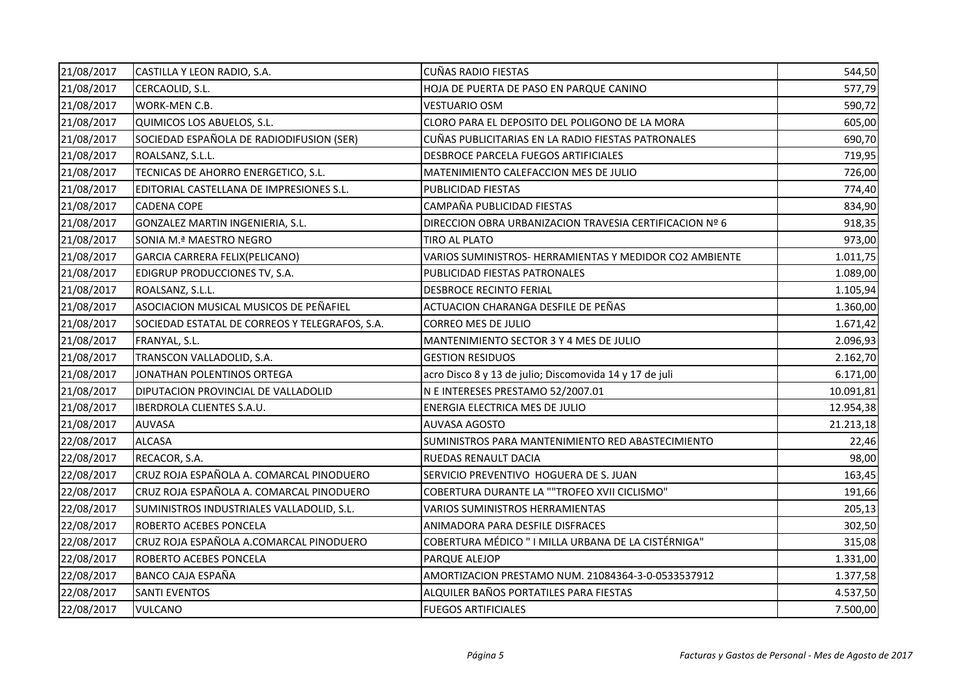| 21/08/2017 | CASTILLA Y LEON RADIO, S.A.                    | <b>CUÑAS RADIO FIESTAS</b>                              | 544,50    |
|------------|------------------------------------------------|---------------------------------------------------------|-----------|
| 21/08/2017 | CERCAOLID, S.L.                                | HOJA DE PUERTA DE PASO EN PARQUE CANINO                 | 577,79    |
| 21/08/2017 | WORK-MEN C.B.                                  | <b>VESTUARIO OSM</b>                                    | 590,72    |
| 21/08/2017 | QUIMICOS LOS ABUELOS, S.L.                     | CLORO PARA EL DEPOSITO DEL POLIGONO DE LA MORA          | 605,00    |
| 21/08/2017 | SOCIEDAD ESPAÑOLA DE RADIODIFUSION (SER)       | CUÑAS PUBLICITARIAS EN LA RADIO FIESTAS PATRONALES      | 690,70    |
| 21/08/2017 | ROALSANZ, S.L.L.                               | DESBROCE PARCELA FUEGOS ARTIFICIALES                    | 719,95    |
| 21/08/2017 | TECNICAS DE AHORRO ENERGETICO, S.L.            | MATENIMIENTO CALEFACCION MES DE JULIO                   | 726,00    |
| 21/08/2017 | EDITORIAL CASTELLANA DE IMPRESIONES S.L.       | PUBLICIDAD FIESTAS                                      | 774,40    |
| 21/08/2017 | <b>CADENA COPE</b>                             | CAMPAÑA PUBLICIDAD FIESTAS                              | 834,90    |
| 21/08/2017 | GONZALEZ MARTIN INGENIERIA, S.L.               | DIRECCION OBRA URBANIZACION TRAVESIA CERTIFICACION Nº 6 | 918,35    |
| 21/08/2017 | SONIA M.ª MAESTRO NEGRO                        | TIRO AL PLATO                                           | 973,00    |
| 21/08/2017 | GARCIA CARRERA FELIX(PELICANO)                 | VARIOS SUMINISTROS- HERRAMIENTAS Y MEDIDOR CO2 AMBIENTE | 1.011,75  |
| 21/08/2017 | EDIGRUP PRODUCCIONES TV, S.A.                  | PUBLICIDAD FIESTAS PATRONALES                           | 1.089,00  |
| 21/08/2017 | ROALSANZ, S.L.L.                               | <b>DESBROCE RECINTO FERIAL</b>                          | 1.105,94  |
| 21/08/2017 | ASOCIACION MUSICAL MUSICOS DE PEÑAFIEL         | ACTUACION CHARANGA DESFILE DE PEÑAS                     | 1.360,00  |
| 21/08/2017 | SOCIEDAD ESTATAL DE CORREOS Y TELEGRAFOS, S.A. | CORREO MES DE JULIO                                     | 1.671,42  |
| 21/08/2017 | FRANYAL, S.L.                                  | MANTENIMIENTO SECTOR 3 Y 4 MES DE JULIO                 | 2.096,93  |
| 21/08/2017 | TRANSCON VALLADOLID, S.A.                      | <b>GESTION RESIDUOS</b>                                 | 2.162,70  |
| 21/08/2017 | JONATHAN POLENTINOS ORTEGA                     | acro Disco 8 y 13 de julio; Discomovida 14 y 17 de juli | 6.171,00  |
| 21/08/2017 | DIPUTACION PROVINCIAL DE VALLADOLID            | N E INTERESES PRESTAMO 52/2007.01                       | 10.091,81 |
| 21/08/2017 | <b>IBERDROLA CLIENTES S.A.U.</b>               | ENERGIA ELECTRICA MES DE JULIO                          | 12.954,38 |
| 21/08/2017 | <b>AUVASA</b>                                  | <b>AUVASA AGOSTO</b>                                    | 21.213,18 |
| 22/08/2017 | <b>ALCASA</b>                                  | SUMINISTROS PARA MANTENIMIENTO RED ABASTECIMIENTO       | 22,46     |
| 22/08/2017 | RECACOR, S.A.                                  | RUEDAS RENAULT DACIA                                    | 98,00     |
| 22/08/2017 | CRUZ ROJA ESPAÑOLA A. COMARCAL PINODUERO       | SERVICIO PREVENTIVO HOGUERA DE S. JUAN                  | 163,45    |
| 22/08/2017 | CRUZ ROJA ESPAÑOLA A. COMARCAL PINODUERO       | COBERTURA DURANTE LA ""TROFEO XVII CICLISMO"            | 191,66    |
| 22/08/2017 | SUMINISTROS INDUSTRIALES VALLADOLID, S.L.      | VARIOS SUMINISTROS HERRAMIENTAS                         | 205,13    |
| 22/08/2017 | ROBERTO ACEBES PONCELA                         | ANIMADORA PARA DESFILE DISFRACES                        | 302,50    |
| 22/08/2017 | CRUZ ROJA ESPAÑOLA A.COMARCAL PINODUERO        | COBERTURA MÉDICO " I MILLA URBANA DE LA CISTÉRNIGA"     | 315,08    |
| 22/08/2017 | ROBERTO ACEBES PONCELA                         | PARQUE ALEJOP                                           | 1.331,00  |
| 22/08/2017 | BANCO CAJA ESPAÑA                              | AMORTIZACION PRESTAMO NUM. 21084364-3-0-0533537912      | 1.377,58  |
| 22/08/2017 | <b>SANTI EVENTOS</b>                           | ALQUILER BAÑOS PORTATILES PARA FIESTAS                  | 4.537,50  |
| 22/08/2017 | <b>VULCANO</b>                                 | <b>FUEGOS ARTIFICIALES</b>                              | 7.500,00  |